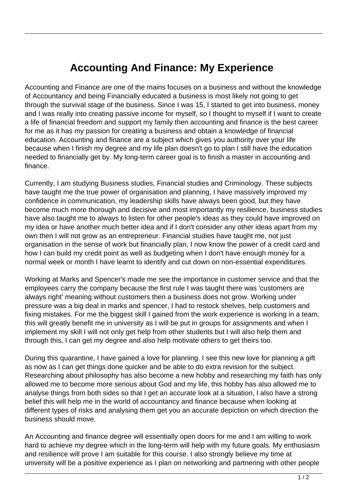## **Accounting And Finance: My Experience**

Accounting and Finance are one of the mains focuses on a business and without the knowledge of Accountancy and being Financially educated a business is most likely not going to get through the survival stage of the business. Since I was 15, I started to get into business, money and I was really into creating passive income for myself, so I thought to myself if I want to create a life of financial freedom and support my family then accounting and finance is the best career for me as it has my passion for creating a business and obtain a knowledge of financial education. Accounting and finance are a subject which gives you authority over your life because when I finish my degree and my life plan doesn't go to plan I still have the education needed to financially get by. My long-term career goal is to finish a master in accounting and finance.

Currently, I am studying Business studies, Financial studies and Criminology. These subjects have taught me the true power of organisation and planning, I have massively improved my confidence in communication, my leadership skills have always been good, but they have become much more thorough and decisive and most importantly my resilience, business studies have also taught me to always to listen for other people's ideas as they could have improved on my idea or have another much better idea and if I don't consider any other ideas apart from my own then I will not grow as an entrepreneur. Financial studies have taught me, not just organisation in the sense of work but financially plan, I now know the power of a credit card and how I can build my credit point as well as budgeting when I don't have enough money for a normal week or month I have learnt to identify and cut down on non-essential expenditures.

Working at Marks and Spencer's made me see the importance in customer service and that the employees carry the company because the first rule I was taught there was 'customers are always right' meaning without customers then a business does not grow. Working under pressure was a big deal in marks and spencer, I had to restock shelves, help customers and fixing mistakes. For me the biggest skill I gained from the work experience is working in a team, this will greatly benefit me in university as I will be put in groups for assignments and when I implement my skill I will not only get help from other students but I will also help them and through this, I can get my degree and also help motivate others to get theirs too.

During this quarantine, I have gained a love for planning. I see this new love for planning a gift as now as I can get things done quicker and be able to do extra revision for the subject. Researching about philosophy has also become a new hobby and researching my faith has only allowed me to become more serious about God and my life, this hobby has also allowed me to analyse things from both sides so that I get an accurate look at a situation, I also have a strong belief this will help me in the world of accountancy and finance because when looking at different types of risks and analysing them get you an accurate depiction on which direction the business should move.

An Accounting and finance degree will essentially open doors for me and I am willing to work hard to achieve my degree which in the long-term will help with my future goals. My enthusiasm and resilience will prove I am suitable for this course. I also strongly believe my time at university will be a positive experience as I plan on networking and partnering with other people